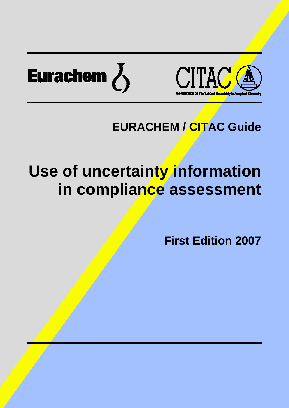



# **EURACHEM / CITAC Guide**

# **Use of uncertainty information in compliance assessment**

**First Edition 2007**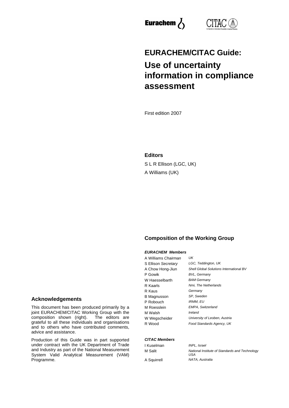



# **EURACHEM/CITAC Guide: Use of uncertainty information in compliance assessment**

First edition 2007

#### **Editors**

S L R Ellison (LGC, UK) A Williams (UK)

#### **Composition of the Working Group**

#### *EURACHEM Members*

| A Williams <i>Chairman</i> | UK                                             |
|----------------------------|------------------------------------------------|
| S Ellison Secretary        | LGC, Teddington, UK                            |
| A Chow Hong-Jiun           | <b>Shell Global Solutions International BV</b> |
| P Gowik                    | <b>BVL, Germany</b>                            |
| W Haesselbarth             | <b>BAM Germany</b>                             |
| R Kaarls                   | Nmi, The Netherlands                           |
| R Kaus                     | Germany                                        |
| B Magnusson                | SP, Sweden                                     |
| P Robouch                  | <b>IRMM, EU</b>                                |
| M Roesslein                | <b>EMPA, Switzerland</b>                       |
| M Walsh                    | Ireland                                        |
| W Wegscheider              | University of Leoben, Austria                  |
| R Wood                     | Food Standards Agency, UK                      |

#### *CITAC Members*

| l Kuselman |  |
|------------|--|
| M Salit    |  |
|            |  |

*INPL, Israel* **National Institute of Standards and Technology** *USA* A Squirrell *NATA, Australia*

#### **Acknowledgements**

This document has been produced primarily by a joint EURACHEM/CITAC Working Group with the composition shown (right). The editors are grateful to all these individuals and organisations and to others who have contributed comments, advice and assistance.

Production of this Guide was in part supported under contract with the UK Department of Trade and Industry as part of the National Measurement System Valid Analytical Measurement (VAM) Programme.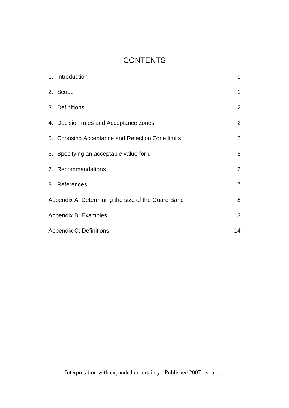# **CONTENTS**

| 1. Introduction                                    | $\mathbf{1}$   |
|----------------------------------------------------|----------------|
| 2. Scope                                           | $\mathbf 1$    |
| 3. Definitions                                     | $\overline{2}$ |
| 4. Decision rules and Acceptance zones             | $\overline{2}$ |
| 5. Choosing Acceptance and Rejection Zone limits   | 5              |
| 6. Specifying an acceptable value for u            | 5              |
| 7. Recommendations                                 | 6              |
| 8. References                                      | $\overline{7}$ |
| Appendix A. Determining the size of the Guard Band | 8              |
| Appendix B. Examples                               | 13             |
| <b>Appendix C: Definitions</b>                     | 14             |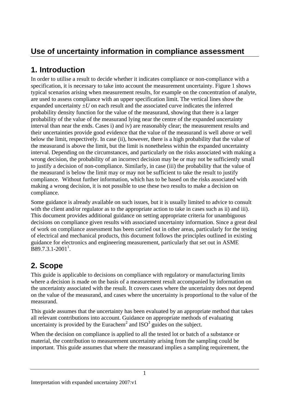# **Use of uncertainty information in compliance assessment**

# **1. Introduction**

In order to utilise a result to decide whether it indicates compliance or non-compliance with a specification, it is necessary to take into account the measurement uncertainty. Figure 1 shows typical scenarios arising when measurement results, for example on the concentration of analyte, are used to assess compliance with an upper specification limit. The vertical lines show the expanded uncertainty  $\pm U$  on each result and the associated curve indicates the inferred probability density function for the value of the measurand, showing that there is a larger probability of the value of the measurand lying near the centre of the expanded uncertainty interval than near the ends. Cases i) and iv) are reasonably clear; the measurement results and their uncertainties provide good evidence that the value of the measurand is well above or well below the limit, respectively. In case (ii), however, there is a high probability that the value of the measurand is above the limit, but the limit is nonetheless within the expanded uncertainty interval. Depending on the circumstances, and particularly on the risks associated with making a wrong decision, the probability of an incorrect decision may be or may not be sufficiently small to justify a decision of non-compliance. Similarly, in case (iii) the probability that the value of the measurand is below the limit may or may not be sufficient to take the result to justify compliance. Without further information, which has to be based on the risks associated with making a wrong decision, it is not possible to use these two results to make a decision on compliance.

Some guidance is already available on such issues, but it is usually limited to advice to consult with the client and/or regulator as to the appropriate action to take in cases such as ii) and iii). This document provides additional guidance on setting appropriate criteria for unambiguous decisions on compliance given results with associated uncertainty information. Since a great deal of work on compliance assessment has been carried out in other areas, particularly for the testing of electrical and mechanical products, this document follows the principles outlined in existing guidance for electronics and engineering measurement, particularly that set out in ASME  $\text{B}89.7.3.1 - 2001^1$ .

# **2. Scope**

This guide is applicable to decisions on compliance with regulatory or manufacturing limits where a decision is made on the basis of a measurement result accompanied by information on the uncertainty associated with the result. It covers cases where the uncertainty does not depend on the value of the measurand, and cases where the uncertainty is proportional to the value of the measurand.

This guide assumes that the uncertainty has been evaluated by an appropriate method that takes all relevant contributions into account. Guidance on appropriate methods of evaluating uncertainty is provided by the Eurachem<sup>2</sup> and  $ISO<sup>3</sup>$  guides on the subject.

When the decision on compliance is applied to all the tested lot or batch of a substance or material, the contribution to measurement uncertainty arising from the sampling could be important. This guide assumes that where the measurand implies a sampling requirement, the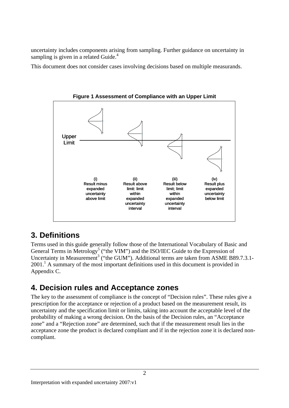uncertainty includes components arising from sampling. Further guidance on uncertainty in sampling is given in a related Guide. $4$ 

This document does not consider cases involving decisions based on multiple measurands.



**Figure 1 Assessment of Compliance with an Upper Limit**

### **3. Definitions**

Terms used in this guide generally follow those of the International Vocabulary of Basic and General Terms in Metrology<sup>5</sup> ("the VIM") and the ISO/IEC Guide to the Expression of Uncertainty in Measurement<sup>3</sup> ("the GUM"). Additional terms are taken from ASME B89.7.3.1- $2001<sup>1</sup>$  A summary of the most important definitions used in this document is provided in Appendix C.

## **4. Decision rules and Acceptance zones**

The key to the assessment of compliance is the concept of "Decision rules". These rules give a prescription for the acceptance or rejection of a product based on the measurement result, its uncertainty and the specification limit or limits, taking into account the acceptable level of the probability of making a wrong decision. On the basis of the Decision rules, an "Acceptance zone" and a "Rejection zone" are determined, such that if the measurement result lies in the acceptance zone the product is declared compliant and if in the rejection zone it is declared noncompliant.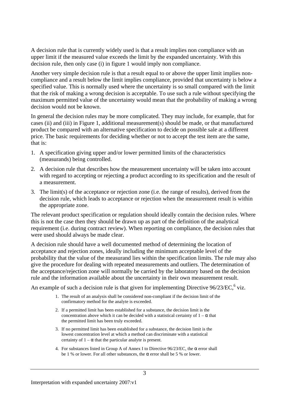A decision rule that is currently widely used is that a result implies non compliance with an upper limit if the measured value exceeds the limit by the expanded uncertainty. With this decision rule, then only case (i) in figure 1 would imply non compliance.

Another very simple decision rule is that a result equal to or above the upper limit implies noncompliance and a result below the limit implies compliance, provided that uncertainty is below a specified value. This is normally used where the uncertainty is so small compared with the limit that the risk of making a wrong decision is acceptable. To use such a rule without specifying the maximum permitted value of the uncertainty would mean that the probability of making a wrong decision would not be known.

In general the decision rules may be more complicated. They may include, for example, that for cases (ii) and (iii) in Figure 1, additional measurement(s) should be made, or that manufactured product be compared with an alternative specification to decide on possible sale at a different price. The basic requirements for deciding whether or not to accept the test item are the same, that is:

- 1. A specification giving upper and/or lower permitted limits of the characteristics (measurands) being controlled.
- 2. A decision rule that describes how the measurement uncertainty will be taken into account with regard to accepting or rejecting a product according to its specification and the result of a measurement.
- 3. The limit(s) of the acceptance or rejection zone (i.e. the range of results), derived from the decision rule, which leads to acceptance or rejection when the measurement result is within the appropriate zone.

The relevant product specification or regulation should ideally contain the decision rules. Where this is not the case then they should be drawn up as part of the definition of the analytical requirement (i.e. during contract review). When reporting on compliance, the decision rules that were used should always be made clear.

A decision rule should have a well documented method of determining the location of acceptance and rejection zones, ideally including the minimum acceptable level of the probability that the value of the measurand lies within the specification limits. The rule may also give the procedure for dealing with repeated measurements and outliers. The determination of the acceptance/rejection zone will normally be carried by the laboratory based on the decision rule and the information available about the uncertainty in their own measurement result.

An example of such a decision rule is that given for implementing Directive  $96/23/EC$ ,  $6$  viz.

- 1. The result of an analysis shall be considered non-compliant if the decision limit of the confirmatory method for the analyte is exceeded.
- 2. If a permitted limit has been established for a substance, the decision limit is the concentration above which it can be decided with a statistical certainty of  $1 - \alpha$  that the permitted limit has been truly exceeded.
- 3. If no permitted limit has been established for a substance, the decision limit is the lowest concentration level at which a method can discriminate with a statistical certainty of  $1 - \alpha$  that the particular analyte is present.
- 4. For substances listed in Group A of Annex I to Directive  $96/23/EC$ , the  $\alpha$  error shall be 1 % or lower. For all other substances, the  $\alpha$  error shall be 5 % or lower.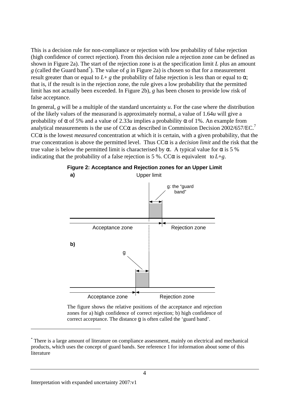This is a decision rule for non-compliance or rejection with low probability of false rejection (high confidence of correct rejection). From this decision rule a rejection zone can be defined as shown in Figure 2a). The start of the rejection zone is at the specification limit *L* plus an amount *g* (called the Guard band\* ). The value of *g* in Figure 2a) is chosen so that for a measurement result greater than or equal to  $L + g$  the probability of false rejection is less than or equal to  $\alpha$ ; that is, if the result is in the rejection zone, the rule gives a low probability that the permitted limit has not actually been exceeded. In Figure 2b), *g* has been chosen to provide low risk of false acceptance.

In general, *g* will be a multiple of the standard uncertainty *u*. For the case where the distribution of the likely values of the measurand is approximately normal, a value of 1.64*u* will give a probability of  $\alpha$  of 5% and a value of 2.33*u* implies a probability  $\alpha$  of 1%. An example from analytical measurements is the use of  $CC\alpha$  as described in Commission Decision 2002/657/EC.<sup>7</sup> CC $\alpha$  is the lowest *measured* concentration at which it is certain, with a given probability, that the *true* concentration is above the permitted level. Thus CCα is a *decision limit* and the risk that the true value is below the permitted limit is characterised by α. A typical value for  $\alpha$  is 5 % indicating that the probability of a false rejection is 5 %. CC $\alpha$  is equivalent to  $L + g$ .



**Figure 2: Acceptance and Rejection zones for an Upper Limit** Upper limit **a)**

The figure shows the relative positions of the acceptance and rejection zones for a) high confidence of correct rejection; b) high confidence of correct acceptance. The distance g is often called the 'guard band'.

 $\overline{a}$ 

<sup>\*</sup> There is a large amount of literature on compliance assessment, mainly on electrical and mechanical products, which uses the concept of guard bands. See reference 1 for information about some of this literature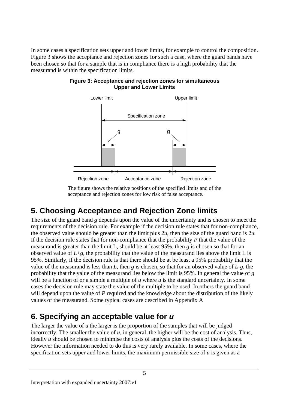In some cases a specification sets upper and lower limits, for example to control the composition. Figure 3 shows the acceptance and rejection zones for such a case, where the guard bands have been chosen so that for a sample that is in compliance there is a high probability that the measurand is within the specification limits.



#### **Figure 3: Acceptance and rejection zones for simultaneous Upper and Lower Limits**

The figure shows the relative positions of the specified limits and of the acceptance and rejection zones for low risk of false acceptance.

# **5. Choosing Acceptance and Rejection Zone limits**

The size of the guard band *g* depends upon the value of the uncertainty and is chosen to meet the requirements of the decision rule. For example if the decision rule states that for non-compliance, the observed value should be greater than the limit plus 2*u*, then the size of the guard band is 2*u*. If the decision rule states that for non-compliance that the probability *P* that the value of the measurand is greater than the limit L, should be at least 95%, then *g* is chosen so that for an observed value of  $L+g$ , the probability that the value of the measurand lies above the limit L is 95%. Similarly, if the decision rule is that there should be at be least a 95% probability that the value of the measurand is less than *L,* then *g* is chosen, so that for an observed value of *L*-*g,* the probability that the value of the measurand lies below the limit is 95%. In general the value of *g* will be a function of or a simple a multiple of *u* where *u* is the standard uncertainty. In some cases the decision rule may state the value of the multiple to be used. In others the guard band will depend upon the value of P required and the knowledge about the distribution of the likely values of the measurand. Some typical cases are described in Appendix A

# **6. Specifying an acceptable value for** *u*

The larger the value of *u* the larger is the proportion of the samples that will be judged incorrectly. The smaller the value of  $u$ , in general, the higher will be the cost of analysis. Thus, ideally *u* should be chosen to minimise the costs of analysis plus the costs of the decisions. However the information needed to do this is very rarely available. In some cases, where the specification sets upper and lower limits, the maximum permissible size of *u* is given as a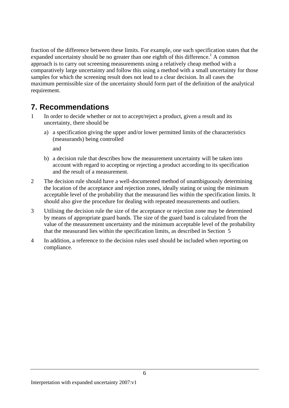fraction of the difference between these limits. For example, one such specification states that the expanded uncertainty should be no greater than one eighth of this difference.<sup>1</sup> A common approach is to carry out screening measurements using a relatively cheap method with a comparatively large uncertainty and follow this using a method with a small uncertainty for those samples for which the screening result does not lead to a clear decision. In all cases the maximum permissible size of the uncertainty should form part of the definition of the analytical requirement.

# **7. Recommendations**

- 1 In order to decide whether or not to accept/reject a product, given a result and its uncertainty, there should be
	- a) a specification giving the upper and/or lower permitted limits of the characteristics (measurands) being controlled

and

- b) a decision rule that describes how the measurement uncertainty will be taken into account with regard to accepting or rejecting a product according to its specification and the result of a measurement.
- 2 The decision rule should have a well-documented method of unambiguously determining the location of the acceptance and rejection zones, ideally stating or using the minimum acceptable level of the probability that the measurand lies within the specification limits. It should also give the procedure for dealing with repeated measurements and outliers.
- 3 Utilising the decision rule the size of the acceptance or rejection zone may be determined by means of appropriate guard bands. The size of the guard band is calculated from the value of the measurement uncertainty and the minimum acceptable level of the probability that the measurand lies within the specification limits, as described in Section 5
- 4 In addition, a reference to the decision rules used should be included when reporting on compliance.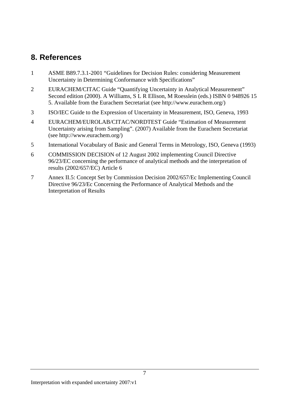# **8. References**

- 1 ASME B89.7.3.1-2001 "Guidelines for Decision Rules: considering Measurement Uncertainty in Determining Conformance with Specifications"
- 2 EURACHEM/CITAC Guide "Quantifying Uncertainty in Analytical Measurement" Second edition (2000). A Williams, S L R Ellison, M Roesslein (eds.) ISBN 0 948926 15 5. Available from the Eurachem Secretariat (see http://www.eurachem.org/)
- 3 ISO/IEC Guide to the Expression of Uncertainty in Measurement, ISO, Geneva, 1993
- 4 EURACHEM/EUROLAB/CITAC/NORDTEST Guide "Estimation of Measurement Uncertainty arising from Sampling". (2007) Available from the Eurachem Secretariat (see http://www.eurachem.org/)
- 5 International Vocabulary of Basic and General Terms in Metrology, ISO, Geneva (1993)
- 6 COMMISSION DECISION of 12 August 2002 implementing Council Directive 96/23/EC concerning the performance of analytical methods and the interpretation of results (2002/657/EC) Article 6
- 7 Annex II.5: Concept Set by Commission Decision 2002/657/Ec Implementing Council Directive 96/23/Ec Concerning the Performance of Analytical Methods and the Interpretation of Results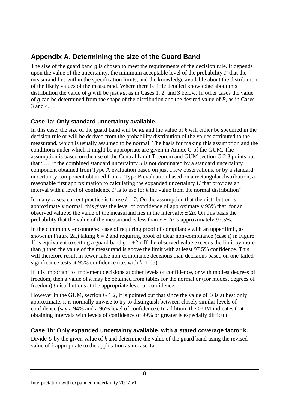## **Appendix A. Determining the size of the Guard Band**

The size of the guard band *g* is chosen to meet the requirements of the decision rule. It depends upon the value of the uncertainty, the minimum acceptable level of the probability *P* that the measurand lies within the specification limits, and the knowledge available about the distribution of the likely values of the measurand. Where there is little detailed knowledge about this distribution the value of *g* will be just *ku,* as in Cases 1, 2, and 3 below. In other cases the value of *g* can be determined from the shape of the distribution and the desired value of *P*, as in Cases 3 and 4.

### **Case 1a: Only standard uncertainty available.**

In this case, the size of the guard band will be *ku* and the value of *k* will either be specified in the decision rule or will be derived from the probability distribution of the values attributed to the measurand, which is usually assumed to be normal. The basis for making this assumption and the conditions under which it might be appropriate are given in Annex G of the GUM. The assumption is based on the use of the Central Limit Theorem and GUM section G 2.3 points out that "…. if the combined standard uncertainty *u* is not dominated by a standard uncertainty component obtained from Type A evaluation based on just a few observations, or by a standard uncertainty component obtained from a Type B evaluation based on a rectangular distribution, a reasonable first approximation to calculating the expanded uncertainty *U* that provides an interval with a level of confidence  $P$  is to use for  $k$  the value from the normal distribution"

In many cases, current practice is to use  $k = 2$ . On the assumption that the distribution is approximately normal, this gives the level of confidence of approximately 95% that, for an observed value *x*, the value of the measurand lies in the interval  $x \pm 2u$ . On this basis the probability that the value of the measurand is less than  $x + 2u$  is approximately 97.5%.

In the commonly encountered case of requiring proof of compliance with an upper limit, as shown in Figure 2a,) taking  $k = 2$  and requiring proof of clear non-compliance (case i) in Figure 1) is equivalent to setting a guard band  $g = +2u$ . If the observed value exceeds the limit by more than *g* then the value of the measurand is above the limit with at least 97.5% confidence. This will therefore result in fewer false non-compliance decisions than decisions based on one-tailed significance tests at 95% confidence (i.e. with *k*=1.65).

If it is important to implement decisions at other levels of confidence, or with modest degrees of freedom, then a value of *k* may be obtained from tables for the normal or (for modest degrees of freedom) *t* distributions at the appropriate level of confidence.

However in the GUM, section G 1.2, it is pointed out that since the value of *U* is at best only approximate, it is normally unwise to try to distinguish between closely similar levels of confidence (say a 94% and a 96% level of confidence). In addition, the GUM indicates that obtaining intervals with levels of confidence of 99% or greater is especially difficult.

### **Case 1b: Only expanded uncertainty available, with a stated coverage factor k.**

Divide *U* by the given value of *k* and determine the value of the guard band using the revised value of *k* appropriate to the application as in case 1a.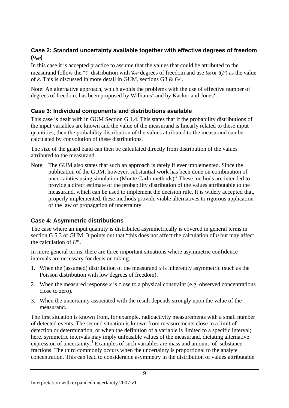#### **Case 2: Standard uncertainty available together with effective degrees of freedom**  $(\mathbf{n}_{\text{eff}})$

In this case it is accepted practice to assume that the values that could be attributed to the measurand follow the "*t*" distribution with  $v_{\text{eff}}$  degrees of freedom and use  $t_{95}$  or  $t(P)$  as the value of *k*. This is discussed in more detail in GUM, sections G3 & G4.

Note: An alternative approach, which avoids the problems with the use of effective number of degrees of freedom, has been proposed by Williams<sup>1</sup> and by Kacker and Jones<sup>2</sup>.

#### **Case 3: Individual components and distributions available**

This case is dealt with in GUM Section G 1.4. This states that if the probability distributions of the input variables are known and the value of the measurand is linearly related to these input quantities, then the probability distribution of the values attributed to the measurand can be calculated by convolution of these distributions.

The size of the guard band can then be calculated directly from distribution of the values attributed to the measurand.

Note: The GUM also states that such an approach is rarely if ever implemented. Since the publication of the GUM, however, substantial work has been done on combination of uncertainties using simulation (Monte Carlo methods).3 These methods are intended to provide a direct estimate of the probability distribution of the values attributable to the measurand, which can be used to implement the decision rule. It is widely accepted that, properly implemented, these methods provide viable alternatives to rigorous application of the law of propagation of uncertainty

### **Case 4: Asymmetric distributions**

The case where an input quantity is distributed asymmetrically is covered in general terms in section G 5.3 of GUM. It points out that "this does not affect the calculation of *u* but may affect the calculation of *U*".

In more general terms, there are three important situations where asymmetric confidence intervals are necessary for decision taking:

- 1. When the (assumed) distribution of the measurand  $x$  is inherently asymmetric (such as the Poisson distribution with low degrees of freedom).
- 2. When the measured response  $x$  is close to a physical constraint (e.g. observed concentrations close to zero).
- 3. When the uncertainty associated with the result depends strongly upon the value of the measurand.

The first situation is known from, for example, radioactivity measurements with a small number of detected events. The second situation is known from measurements close to a limit of detection or determination, or when the definition of a variable is limited to a specific interval; here, symmetric intervals may imply unfeasible values of the measurand, dictating alternative expression of uncertainty.<sup>4</sup> Examples of such variables are mass and amount–of–substance fractions. The third commonly occurs when the uncertainty is proportional to the analyte concentration. This can lead to considerable asymmetry in the distribution of values attributable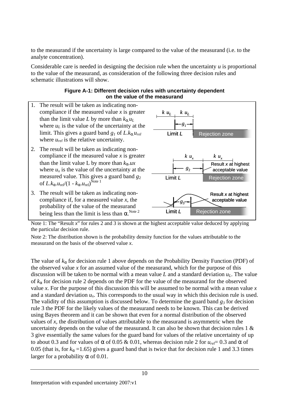to the measurand if the uncertainty is large compared to the value of the measurand (i.e. to the analyte concentration).

Considerable care is needed in designing the decision rule when the uncertainty *u* is proportional to the value of the measurand, as consideration of the following three decision rules and schematic illustrations will show.

#### **Figure A-1: Different decision rules with uncertainty dependent on the value of the measurand**



Note 1: The "Result *x*" for rules 2 and 3 is shown at the highest acceptable value deduced by applying the particular decision rule.

Note 2: The distribution shown is the probability density function for the values attributable to the measurand on the basis of the observed value *x*.

The value of *ka* for decision rule 1 above depends on the Probability Density Function (PDF) of the observed value *x* for an assumed value of the measurand, which for the purpose of this discussion will be taken to be normal with a mean value L and a standard deviation  $u<sub>L</sub>$ . The value of *ka* for decision rule 2 depends on the PDF for the value of the measurand for the observed value *x*. For the purpose of this discussion this will be assumed to be normal with a mean value *x* and a standard deviation  $u_x$ . This corresponds to the usual way in which this decision rule is used. The validity of this assumption is discussed below. To determine the guard band *g3* for decision rule 3 the PDF for the likely values of the measurand needs to be known. This can be derived using Bayes theorem and it can be shown that even for a normal distribution of the observed values of *x*, the distribution of values attributable to the measurand is asymmetric when the uncertainty depends on the value of the measurand. It can also be shown that decision rules  $1 \&$ 3 give essentially the same values for the guard band for values of the relative uncertainty of up to about 0.3 and for values of **a** of 0.05 & 0.01, whereas decision rule 2 for  $u_{rel} = 0.3$  and **a** of 0.05 (that is, for  $k_a = 1.65$ ) gives a guard band that is twice that for decision rule 1 and 3.3 times larger for a probability *a* of 0.01.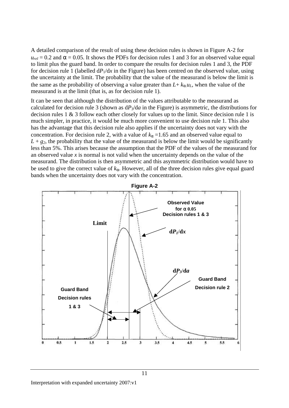A detailed comparison of the result of using these decision rules is shown in Figure A-2 for  $u_{rel} = 0.2$  and  $\boldsymbol{a} = 0.05$ . It shows the PDFs for decision rules 1 and 3 for an observed value equal to limit plus the guard band. In order to compare the results for decision rules 1 and 3, the PDF for decision rule 1 (labelled  $dP_1/dx$  in the Figure) has been centred on the observed value, using the uncertainty at the limit. The probability that the value of the measurand is below the limit is the same as the probability of observing a value greater than  $L + k_a u_L$ , when the value of the measurand is at the limit (that is, as for decision rule 1).

It can be seen that although the distribution of the values attributable to the measurand as calculated for decision rule 3 (shown as  $dP_3/da$  in the Figure) is asymmetric, the distributions for decision rules 1 & 3 follow each other closely for values up to the limit. Since decision rule 1 is much simpler, in practice, it would be much more convenient to use decision rule 1. This also has the advantage that this decision rule also applies if the uncertainty does not vary with the concentration. For decision rule 2, with a value of  $k_a = 1.65$  and an observed value equal to  $L + g<sub>2</sub>$ , the probability that the value of the measurand is below the limit would be significantly less than 5%. This arises because the assumption that the PDF of the values of the measurand for an observed value  $x$  is normal is not valid when the uncertainty depends on the value of the measurand. The distribution is then asymmetric and this asymmetric distribution would have to be used to give the correct value of *ka*. However, all of the three decision rules give equal guard bands when the uncertainty does not vary with the concentration.



11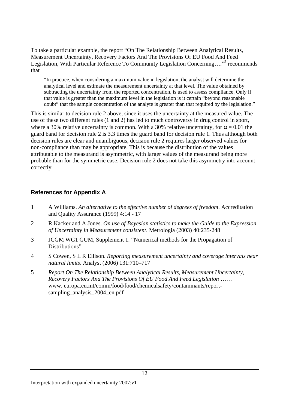To take a particular example, the report "On The Relationship Between Analytical Results, Measurement Uncertainty, Recovery Factors And The Provisions Of EU Food And Feed Legislation, With Particular Reference To Community Legislation Concerning...."<sup>5</sup> recommends that

"In practice, when considering a maximum value in legislation, the analyst will determine the analytical level and estimate the measurement uncertainty at that level. The value obtained by subtracting the uncertainty from the reported concentration, is used to assess compliance. Only if that value is greater than the maximum level in the legislation is it certain "beyond reasonable doubt" that the sample concentration of the analyte is greater than that required by the legislation."

This is similar to decision rule 2 above, since it uses the uncertainty at the measured value. The use of these two different rules (1 and 2) has led to much controversy in drug control in sport, where a 30% relative uncertainty is common. With a 30% relative uncertainty, for  $\alpha = 0.01$  the guard band for decision rule 2 is 3.3 times the guard band for decision rule 1. Thus although both decision rules are clear and unambiguous, decision rule 2 requires larger observed values for non-compliance than may be appropriate. This is because the distribution of the values attributable to the measurand is asymmetric, with larger values of the measurand being more probable than for the symmetric case. Decision rule 2 does not take this asymmetry into account correctly.

#### **References for Appendix A**

- 1 A Williams. *An alternative to the effective number of degrees of freedom*. Accreditation and Quality Assurance (1999) 4:14 - 17
- 2 R Kacker and A Jones. *On use of Bayesian statistics to make the Guide to the Expression of Uncertainty in Measurement consistent*. Metrologia (2003) 40:235-248
- 3 JCGM WG1 GUM, Supplement 1: "Numerical methods for the Propagation of Distributions".
- 4 S Cowen, S L R Ellison. *Reporting measurement uncertainty and coverage intervals near natural limits*. Analyst (2006) 131:710–717
- 5 *Report On The Relationship Between Analytical Results, Measurement Uncertainty, Recovery Factors And The Provisions Of EU Food And Feed Legislation* …… www. europa.eu.int/comm/food/food/chemicalsafety/contaminants/reportsampling\_analysis\_2004\_en.pdf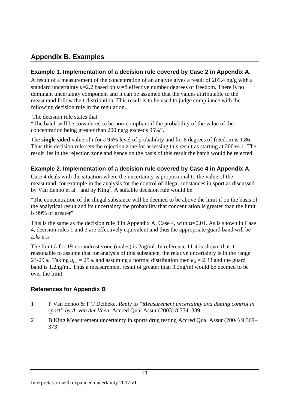### **Appendix B. Examples**

#### **Example 1. Implementation of a decision rule covered by Case 2 in Appendix A.**

A result of a measurement of the concentration of an analyte gives a result of 205.4 ng/g with a standard uncertainty *u*=2.2 based on ν **=**8 effective number degrees of freedom. There is no dominant uncertainty component and it can be assumed that the values attributable to the measurand follow the *t*-distribution. This result is to be used to judge compliance with the following decision rule in the regulation.

The decision rule states that

"The batch will be considered to be non-compliant if the probability of the value of the concentration being greater than 200 ng/g exceeds 95%".

The **single sided** value of *t* for a 95% level of probability and for 8 degrees of freedom is 1.86. Thus this decision rule sets the rejection zone for assessing this result as starting at 200+4.1. The result lies in the rejection zone and hence on the basis of this result the batch would be rejected.

#### **Example 2. Implementation of a decision rule covered by Case 4 in Appendix A.**

Case 4 deals with the situation where the uncertainty is proportional to the value of the measurand, for example in the analysis for the control of illegal substances in sport as discussed by Van Eenoo et al  $1$  and by King<sup>2</sup>. A suitable decision rule would be

"The concentration of the illegal substance will be deemed to be above the limit if on the basis of the analytical result and its uncertainty the probability that concentration is greater than the limit is 99% or greater"

This is the same as the decision rule 3 in Appendix A, Case 4, with  $\alpha$ =0.01. As is shown in Case 4, decision rules 1 and 3 are effectively equivalent and thus the appropriate guard band will be *L.k<sup>a</sup>.urel.*

The limit *L* for 19-norandrosterone (males) is 2ng/ml. In reference 11 it is shown that it reasonable to assume that for analysis of this substance, the relative uncertainty is in the range 23-29%. Taking  $u_{rel} = 25\%$  and assuming a normal distribution then  $k_a = 2.33$  and the guard band is 1.2ng/ml. Thus a measurement result of greater than 3.2ng/ml would be deemed to be over the limit.

### **References for Appendix B**

- 1 P Van Eenoo & F T Delbeke. *Reply to "Measurement uncertainty and doping control in sport" by A. van der Veen*, Accred Qual Assur (2003) 8:334–339
- 2 B King Measurement uncertainty in sports drug testing Accred Qual Assur (2004) 9:369– 373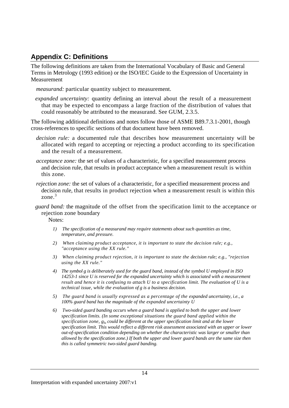### **Appendix C: Definitions**

The following definitions are taken from the International Vocabulary of Basic and General Terms in Metrology (1993 edition) or the ISO/IEC Guide to the Expression of Uncertainty in Measurement

*measurand:* particular quantity subject to measurement.

*expanded uncertainty:* quantity defining an interval about the result of a measurement that may be expected to encompass a large fraction of the distribution of values that could reasonably be attributed to the measurand. See GUM, 2.3.5.

The following additional definitions and notes follow those of ASME B89.7.3.1-2001, though cross-references to specific sections of that document have been removed.

*decision rule:* a documented rule that describes how measurement uncertainty will be allocated with regard to accepting or rejecting a product according to its specification and the result of a measurement.

*acceptance zone:* the set of values of a characteristic, for a specified measurement process and decision rule, that results in product acceptance when a measurement result is within this zone.

*rejection zone:* the set of values of a characteristic, for a specified measurement process and decision rule, that results in product rejection when a measurement result is within this zone.<sup>3</sup>

*guard band:* the magnitude of the offset from the specification limit to the acceptance or rejection zone boundary

Notes:

- *1) The specification of a measurand may require statements about such quantities as time, temperature, and pressure.*
- *2) When claiming product acceptance, it is important to state the decision rule; e.g., "acceptance using the XX rule."*
- *3) When claiming product rejection, it is important to state the decision rule; e.g., "rejection using the XX rule."*
- *4) The symbol g is deliberately used for the guard band, instead of the symbol U employed in ISO 14253-1 since U is reserved for the expanded uncertainty which is associated with a measurement result and hence it is confusing to attach U to a specification limit. The evaluation of U is a technical issue, while the evaluation of g is a business decision.*
- *5) The guard band is usually expressed as a percentage of the expanded uncertainty, i.e., a 100% guard band has the magnitude of the expanded uncertainty U*
- *6) Two-sided guard banding occurs when a guard band is applied to both the upper and lower specification limits. (In some exceptional situations the guard band applied within the specification zone, glu could be different at the upper specification limit and at the lower specification limit. This would reflect a different risk assessment associated with an upper or lower out-of-specification condition depending on whether the characteristic was larger or smaller than allowed by the specification zone.) If both the upper and lower guard bands are the same size then this is called symmetric two-sided guard banding.*